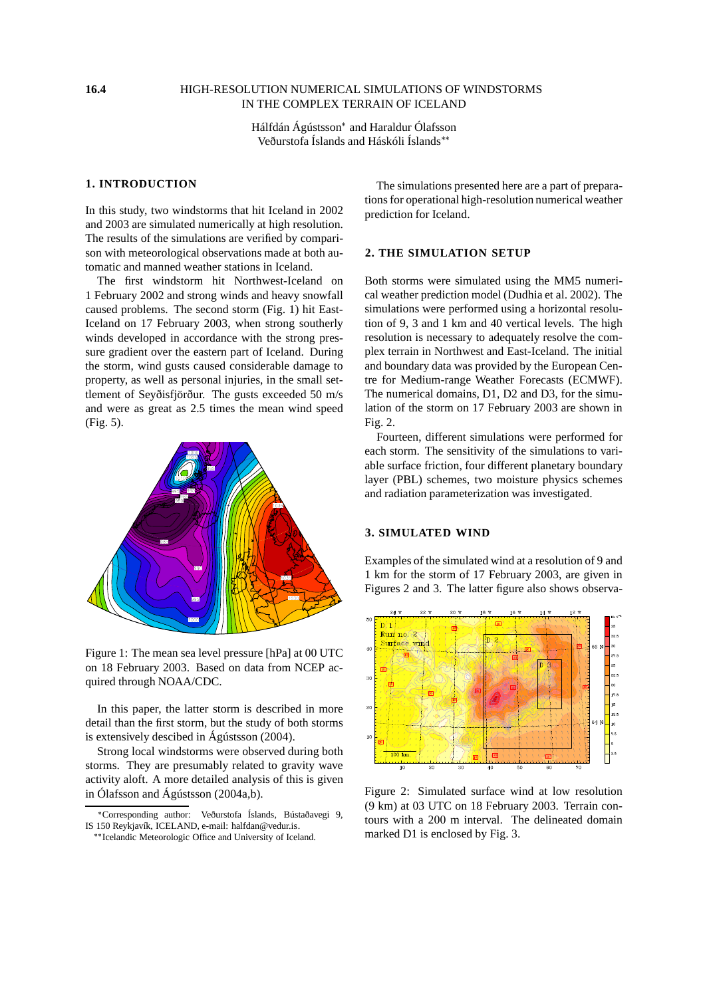#### **16.4** HIGH-RESOLUTION NUMERICAL SIMULATIONS OF WINDSTORMS IN THE COMPLEX TERRAIN OF ICELAND

Hálfdán Ágústsson\* and Haraldur Ólafsson Veðurstofa Íslands and Háskóli Íslands

### **1. INTRODUCTION**

In this study, two windstorms that hit Iceland in 2002 and 2003 are simulated numerically at high resolution. The results of the simulations are verified by comparison with meteorological observations made at both automatic and manned weather stations in Iceland.

The first windstorm hit Northwest-Iceland on 1 February 2002 and strong winds and heavy snowfall caused problems. The second storm (Fig. 1) hit East-Iceland on 17 February 2003, when strong southerly winds developed in accordance with the strong pressure gradient over the eastern part of Iceland. During the storm, wind gusts caused considerable damage to property, as well as personal injuries, in the small settlement of Seyðisfjörður. The gusts exceeded 50 m/s and were as great as 2.5 times the mean wind speed (Fig. 5).



Figure 1: The mean sea level pressure [hPa] at 00 UTC on 18 February 2003. Based on data from NCEP acquired through NOAA/CDC.

In this paper, the latter storm is described in more detail than the first storm, but the study of both storms is extensively descibed in Ágústsson (2004).

Strong local windstorms were observed during both storms. They are presumably related to gravity wave activity aloft. A more detailed analysis of this is given in Ólafsson and Ágústsson (2004a,b).

The simulations presented here are a part of preparations for operational high-resolution numerical weather prediction for Iceland.

## **2. THE SIMULATION SETUP**

Both storms were simulated using the MM5 numerical weather prediction model (Dudhia et al. 2002). The simulations were performed using a horizontal resolution of 9, 3 and 1 km and 40 vertical levels. The high resolution is necessary to adequately resolve the complex terrain in Northwest and East-Iceland. The initial and boundary data was provided by the European Centre for Medium-range Weather Forecasts (ECMWF). The numerical domains, D1, D2 and D3, for the simulation of the storm on 17 February 2003 are shown in Fig. 2.

Fourteen, different simulations were performed for each storm. The sensitivity of the simulations to variable surface friction, four different planetary boundary layer (PBL) schemes, two moisture physics schemes and radiation parameterization was investigated.

#### **3. SIMULATED WIND**

Examples of the simulated wind at a resolution of 9 and 1 km for the storm of 17 February 2003, are given in Figures 2 and 3. The latter figure also shows observa-



Figure 2: Simulated surface wind at low resolution (9 km) at 03 UTC on 18 February 2003. Terrain contours with a 200 m interval. The delineated domain marked D1 is enclosed by Fig. 3.

<sup>-</sup> Corresponding author: Veðurstofa Íslands, Bústaðavegi 9, IS 150 Reykjavík, ICELAND, e-mail: halfdan@vedur.is.

<sup>\*\*</sup> Icelandic Meteorologic Office and University of Iceland.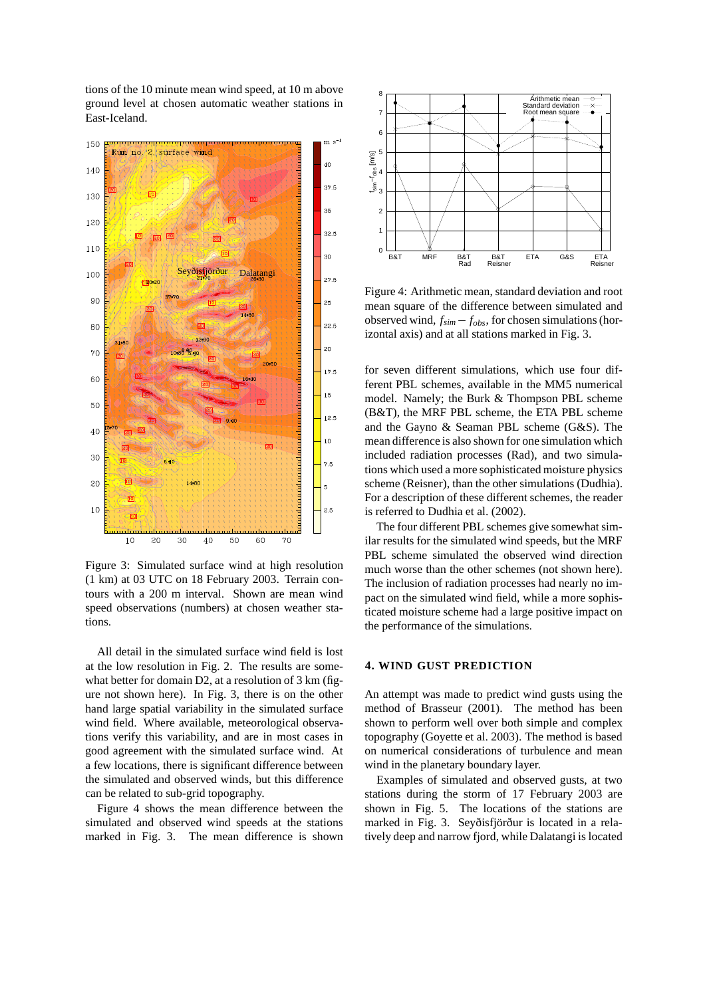tions of the 10 minute mean wind speed, at 10 m above ground level at chosen automatic weather stations in East-Iceland.



Figure 3: Simulated surface wind at high resolution (1 km) at 03 UTC on 18 February 2003. Terrain contours with a 200 m interval. Shown are mean wind speed observations (numbers) at chosen weather stations.

All detail in the simulated surface wind field is lost at the low resolution in Fig. 2. The results are somewhat better for domain D2, at a resolution of 3 km (figure not shown here). In Fig. 3, there is on the other hand large spatial variability in the simulated surface wind field. Where available, meteorological observations verify this variability, and are in most cases in good agreement with the simulated surface wind. At a few locations, there is significant difference between the simulated and observed winds, but this difference can be related to sub-grid topography.

Figure 4 shows the mean difference between the simulated and observed wind speeds at the stations marked in Fig. 3. The mean difference is shown



Figure 4: Arithmetic mean, standard deviation and root mean square of the difference between simulated and observed wind,  $f_{sim} - f_{obs}$ , for chosen simulations (horizontal axis) and at all stations marked in Fig. 3.

for seven different simulations, which use four different PBL schemes, available in the MM5 numerical model. Namely; the Burk & Thompson PBL scheme (B&T), the MRF PBL scheme, the ETA PBL scheme and the Gayno & Seaman PBL scheme (G&S). The mean difference is also shown for one simulation which included radiation processes (Rad), and two simulations which used a more sophisticated moisture physics scheme (Reisner), than the other simulations (Dudhia). For a description of these different schemes, the reader is referred to Dudhia et al. (2002).

The four different PBL schemes give somewhat similar results for the simulated wind speeds, but the MRF PBL scheme simulated the observed wind direction much worse than the other schemes (not shown here). The inclusion of radiation processes had nearly no impact on the simulated wind field, while a more sophisticated moisture scheme had a large positive impact on the performance of the simulations.

### **4. WIND GUST PREDICTION**

An attempt was made to predict wind gusts using the method of Brasseur (2001). The method has been shown to perform well over both simple and complex topography (Goyette et al. 2003). The method is based on numerical considerations of turbulence and mean wind in the planetary boundary layer.

Examples of simulated and observed gusts, at two stations during the storm of 17 February 2003 are shown in Fig. 5. The locations of the stations are marked in Fig. 3. Seyðisfjörður is located in a relatively deep and narrow fjord, while Dalatangi is located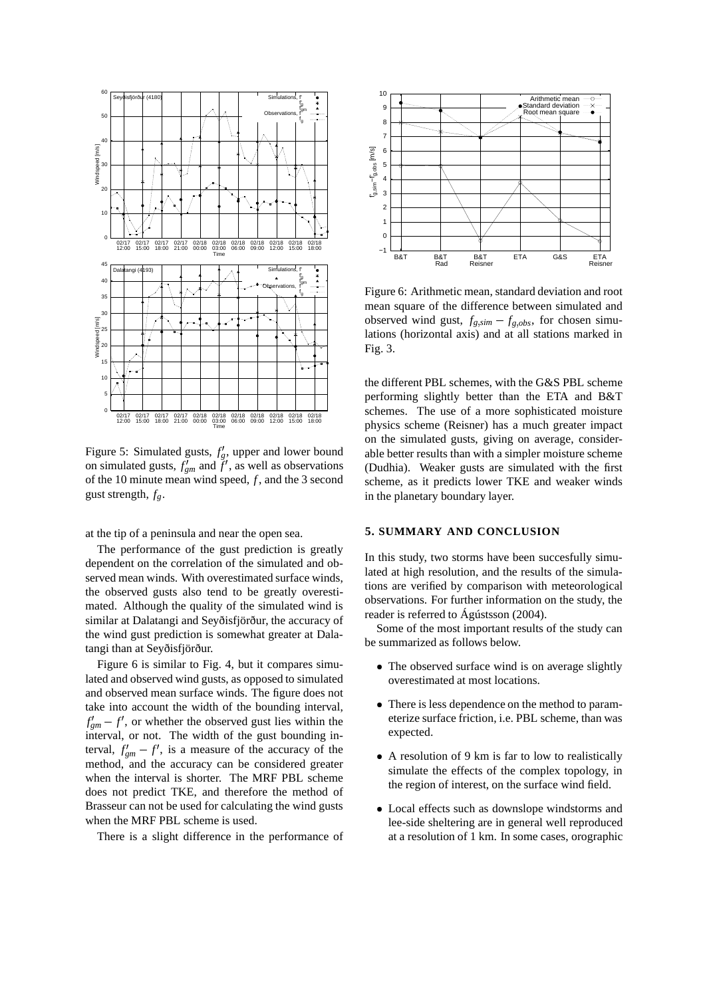

Figure 5: Simulated gusts,  $f'_g$ , upper and lower bound on simulated gusts,  $f'_{gm}$  and  $f'$ , as well as observations of the 10 minute mean wind speed, *f* , and the 3 second gust strength, *fg*.

at the tip of a peninsula and near the open sea.

The performance of the gust prediction is greatly dependent on the correlation of the simulated and observed mean winds. With overestimated surface winds, the observed gusts also tend to be greatly overestimated. Although the quality of the simulated wind is similar at Dalatangi and Seyðisfjörður, the accuracy of the wind gust prediction is somewhat greater at Dalatangi than at Seyðisfjörður.

Figure 6 is similar to Fig. 4, but it compares simulated and observed wind gusts, as opposed to simulated and observed mean surface winds. The figure does not take into account the width of the bounding interval,  $f'_{gm} - f'$ , or whether the observed gust lies within the interval, or not. The width of the gust bounding interval,  $f'_{gm} - f'$ , is a measure of the accuracy of the method, and the accuracy can be considered greater when the interval is shorter. The MRF PBL scheme does not predict TKE, and therefore the method of Brasseur can not be used for calculating the wind gusts when the MRF PBL scheme is used.

There is a slight difference in the performance of



Figure 6: Arithmetic mean, standard deviation and root mean square of the difference between simulated and observed wind gust,  $f_{g,sim} - f_{g,obs}$ , for chosen simulations (horizontal axis) and at all stations marked in Fig. 3.

the different PBL schemes, with the G&S PBL scheme performing slightly better than the ETA and B&T schemes. The use of a more sophisticated moisture physics scheme (Reisner) has a much greater impact on the simulated gusts, giving on average, considerable better results than with a simpler moisture scheme (Dudhia). Weaker gusts are simulated with the first scheme, as it predicts lower TKE and weaker winds in the planetary boundary layer.

#### **5. SUMMARY AND CONCLUSION**

In this study, two storms have been succesfully simulated at high resolution, and the results of the simulations are verified by comparison with meteorological observations. For further information on the study, the reader is referred to Ágústsson (2004).

Some of the most important results of the study can be summarized as follows below.

- The observed surface wind is on average slightly overestimated at most locations.
- There is less dependence on the method to parameterize surface friction, i.e. PBL scheme, than was expected.
- A resolution of 9 km is far to low to realistically simulate the effects of the complex topology, in the region of interest, on the surface wind field.
- Local effects such as downslope windstorms and lee-side sheltering are in general well reproduced at a resolution of 1 km. In some cases, orographic